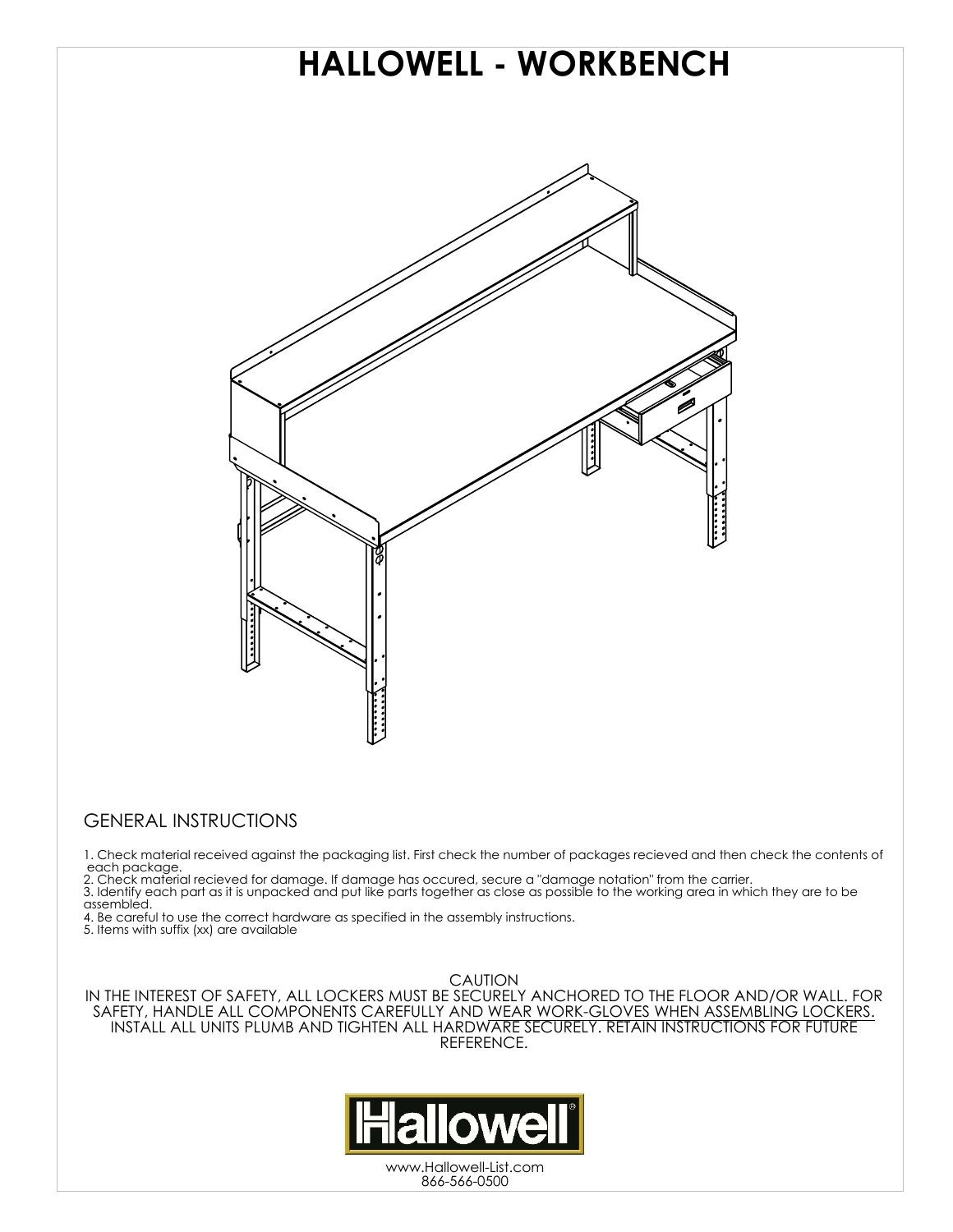

## GENERAL INSTRUCTIONS

1. Check material received against the packaging list. First check the number of packages recieved and then check the contents of each package.

2. Check material recieved for damage. If damage has occured, secure a "damage notation" from the carrier.

3. Identify each part as it is unpacked and put like parts together as close as possible to the working area in which they are to be assembled.

4. Be careful to use the correct hardware as specified in the assembly instructions. 5. Items with suffix (xx) are available

**CAUTION** 

IN THE INTEREST OF SAFETY, ALL LOCKERS MUST BE SECURELY ANCHORED TO THE FLOOR AND/OR WALL. FOR SAFETY, HANDLE ALL COMPONENTS CAREFULLY AND WEAR WORK-GLOVES WHEN ASSEMBLING LOCKERS. INSTALL ALL UNITS PLUMB AND TIGHTEN ALL HARDWARE SECURELY. RETAIN INSTRUCTIONS FOR FUTURE REFERENCE.



www.Hallowell-List.com 866-566-0500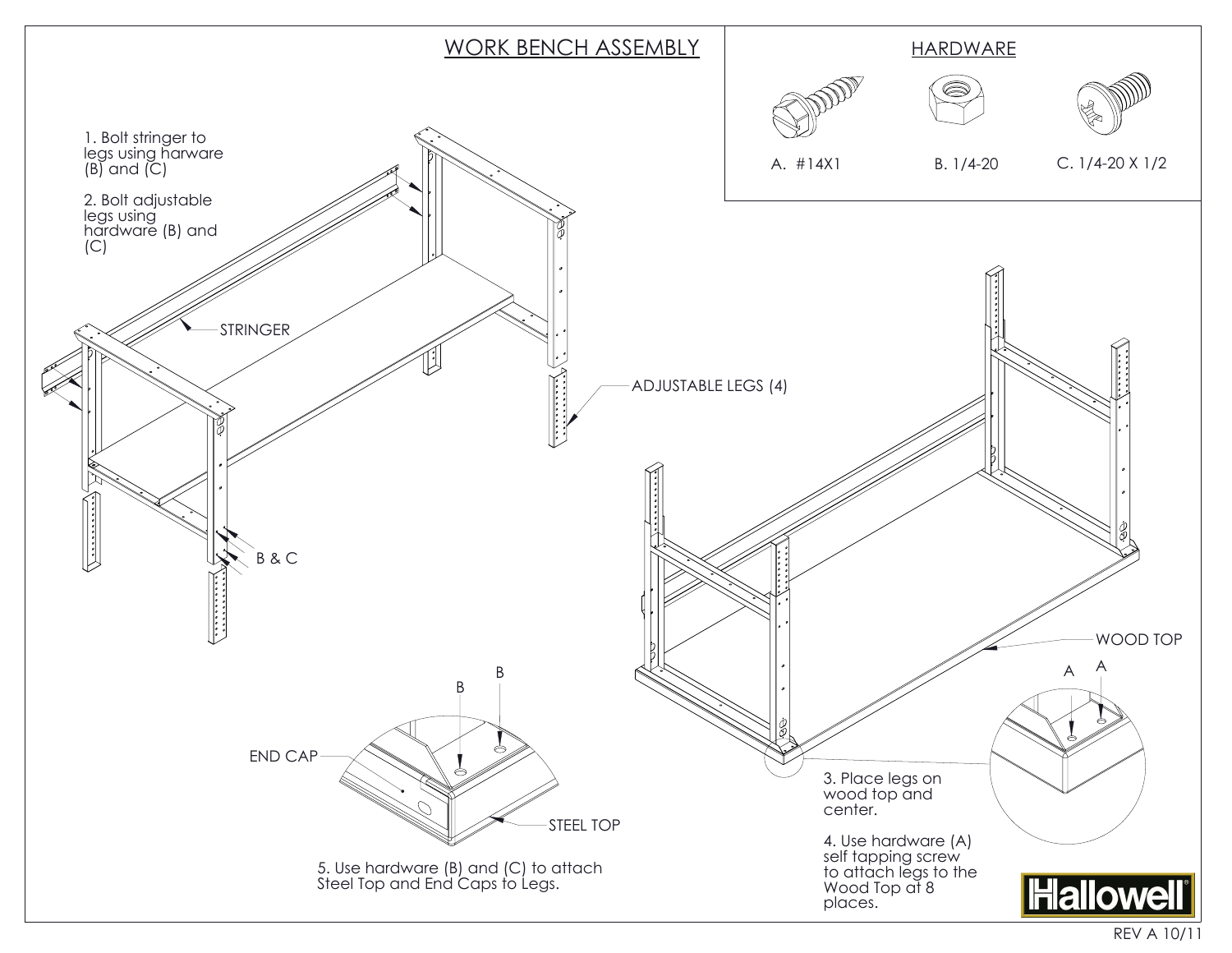

REV A 10/11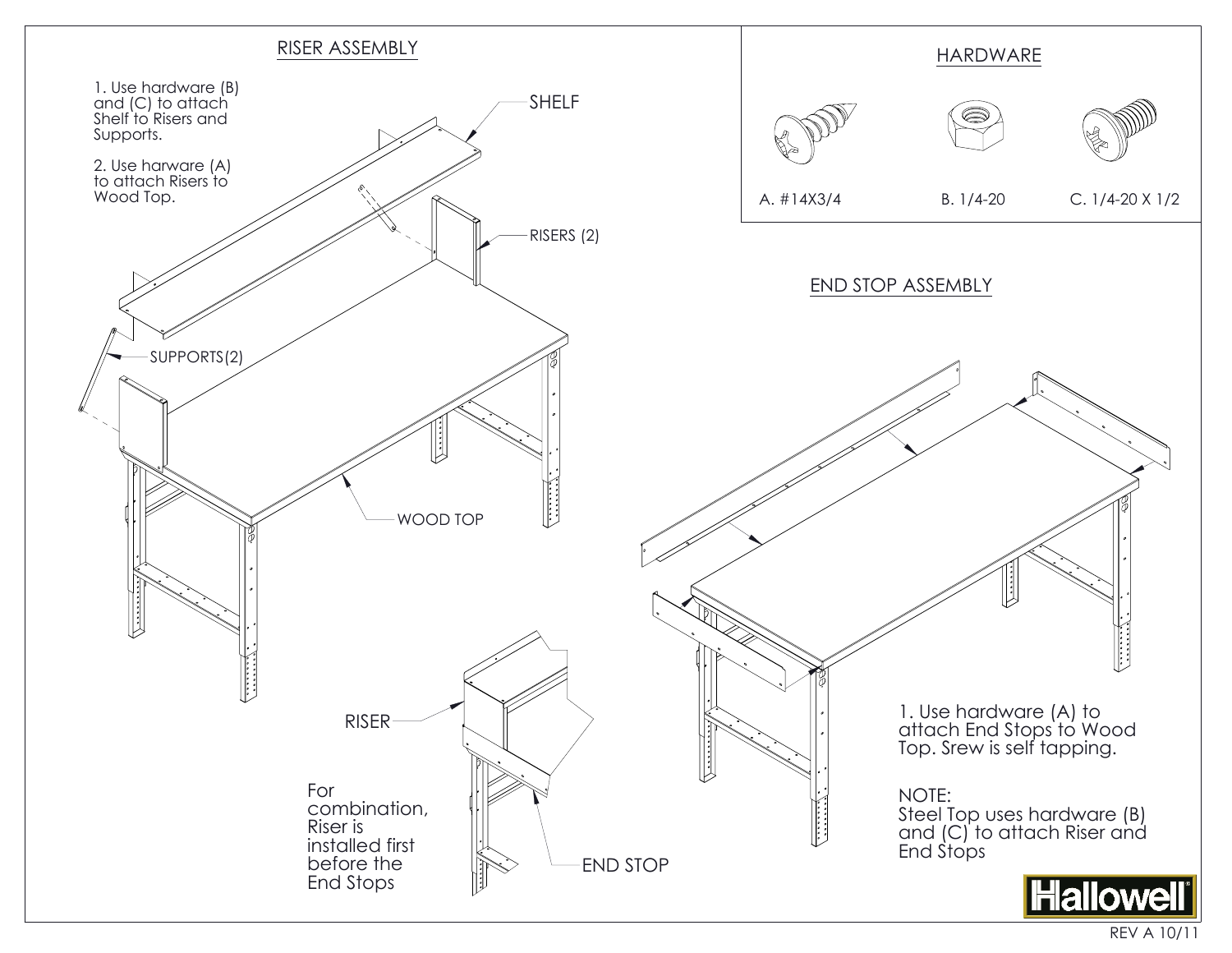

REV A 10/11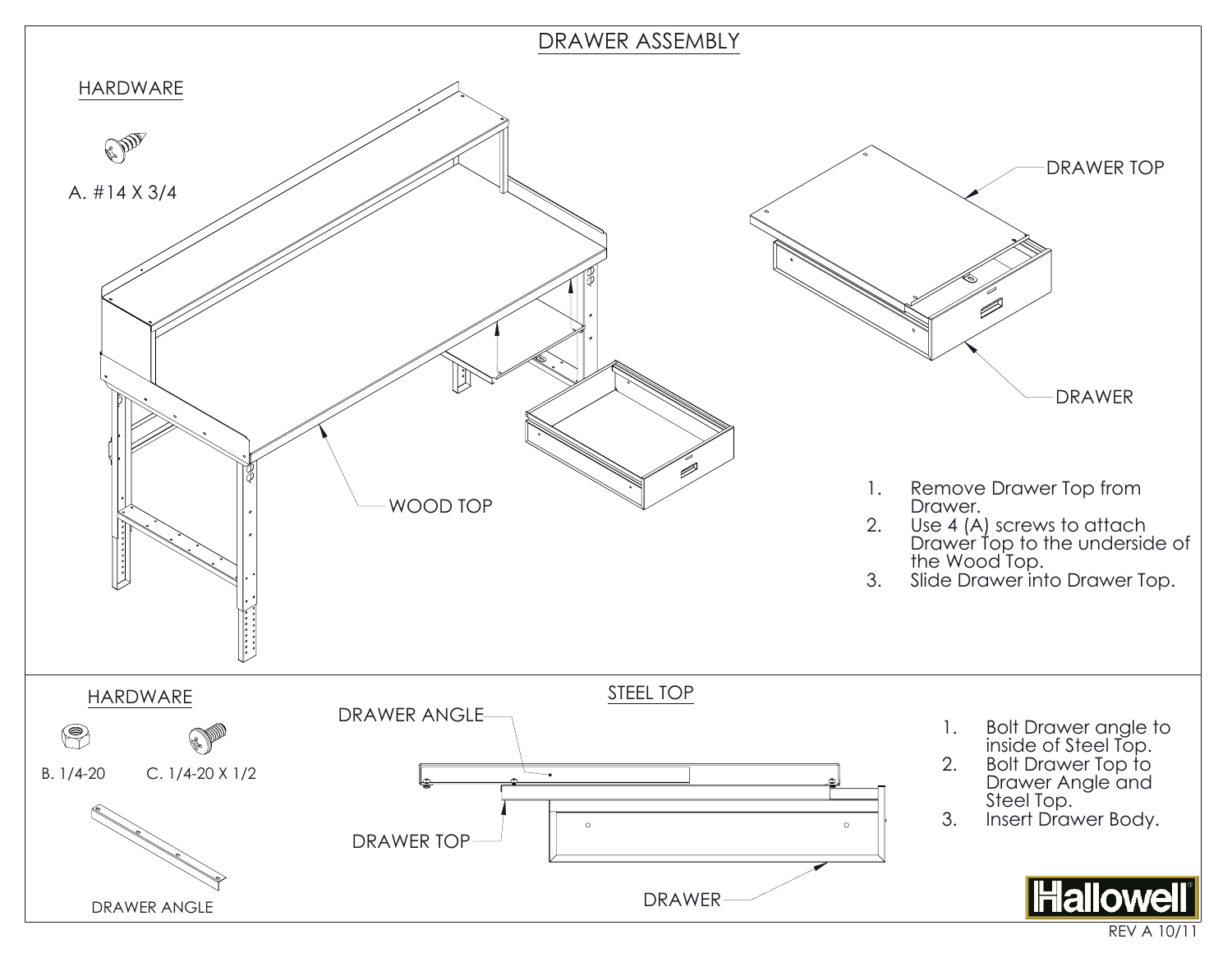